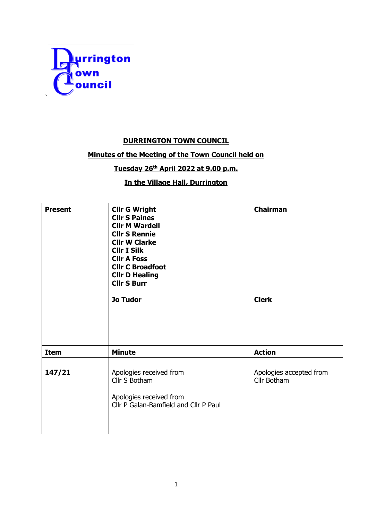

## **DURRINGTON TOWN COUNCIL**

## **Minutes of the Meeting of the Town Council held on**

## **Tuesday 26th April 2022 at 9.00 p.m.**

## **In the Village Hall, Durrington**

| <b>Present</b> | <b>Cllr G Wright</b><br><b>Cllr S Paines</b><br><b>Cllr M Wardell</b><br><b>Cllr S Rennie</b><br><b>Cllr W Clarke</b><br><b>CIIr I Silk</b><br><b>Cllr A Foss</b><br><b>Cllr C Broadfoot</b><br><b>Cllr D Healing</b><br><b>Cllr S Burr</b><br><b>Jo Tudor</b> | <b>Chairman</b><br><b>Clerk</b>        |
|----------------|----------------------------------------------------------------------------------------------------------------------------------------------------------------------------------------------------------------------------------------------------------------|----------------------------------------|
|                |                                                                                                                                                                                                                                                                |                                        |
| <b>Item</b>    | <b>Minute</b>                                                                                                                                                                                                                                                  | <b>Action</b>                          |
| 147/21         | Apologies received from<br>Cllr S Botham<br>Apologies received from<br>Cllr P Galan-Bamfield and Cllr P Paul                                                                                                                                                   | Apologies accepted from<br>Cllr Botham |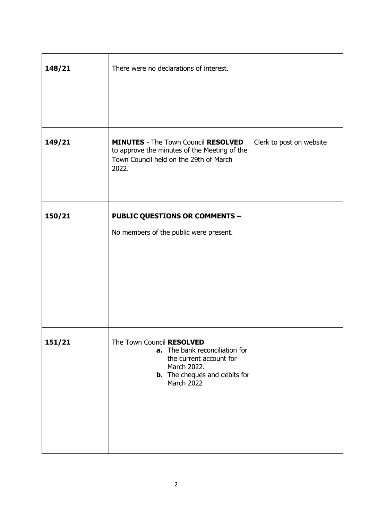| 148/21 | There were no declarations of interest.                                                                                                                     |                          |
|--------|-------------------------------------------------------------------------------------------------------------------------------------------------------------|--------------------------|
| 149/21 | <b>MINUTES</b> - The Town Council RESOLVED<br>to approve the minutes of the Meeting of the<br>Town Council held on the 29th of March<br>2022.               | Clerk to post on website |
| 150/21 | <b>PUBLIC QUESTIONS OR COMMENTS -</b><br>No members of the public were present.                                                                             |                          |
| 151/21 | The Town Council RESOLVED<br>a. The bank reconciliation for<br>the current account for<br>March 2022.<br><b>b.</b> The cheques and debits for<br>March 2022 |                          |